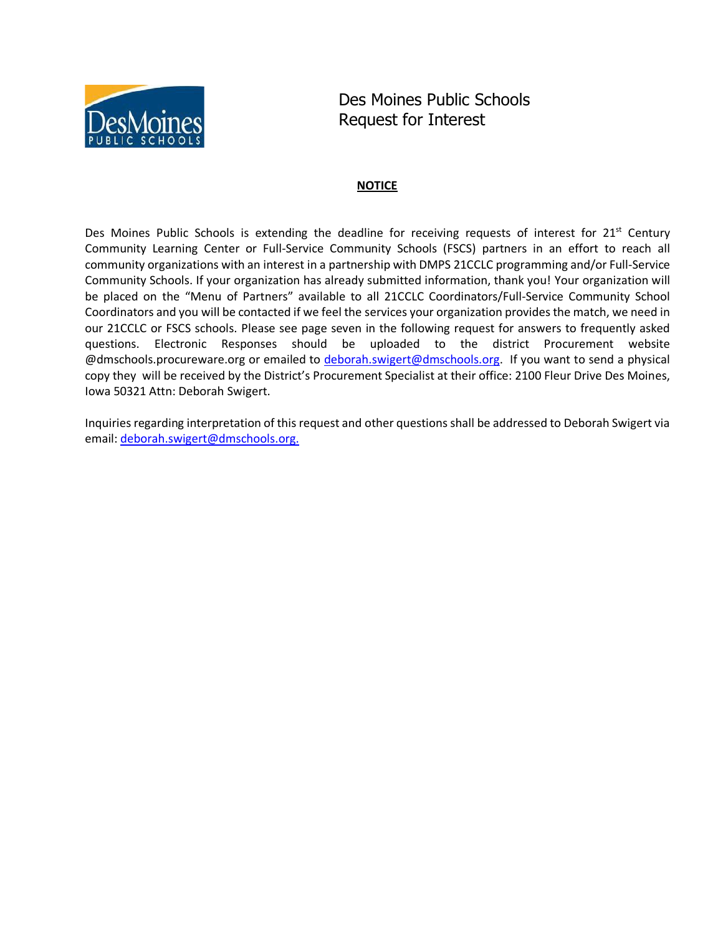

Des Moines Public Schools Request for Interest

## **NOTICE**

Des Moines Public Schools is extending the deadline for receiving requests of interest for 21<sup>st</sup> Century Community Learning Center or Full-Service Community Schools (FSCS) partners in an effort to reach all community organizations with an interest in a partnership with DMPS 21CCLC programming and/or Full-Service Community Schools. If your organization has already submitted information, thank you! Your organization will be placed on the "Menu of Partners" available to all 21CCLC Coordinators/Full-Service Community School Coordinators and you will be contacted if we feel the services your organization provides the match, we need in our 21CCLC or FSCS schools. Please see page seven in the following request for answers to frequently asked questions. Electronic Responses should be uploaded to the district Procurement website @dmschools.procureware.org or emailed to deborah.swigert@dmschools.org. If you want to send a physical copy they will be received by the District's Procurement Specialist at their office: 2100 Fleur Drive Des Moines, Iowa 50321 Attn: Deborah Swigert.

Inquiries regarding interpretation of this request and other questions shall be addressed to Deborah Swigert via email: deborah.swigert@dmschools.org.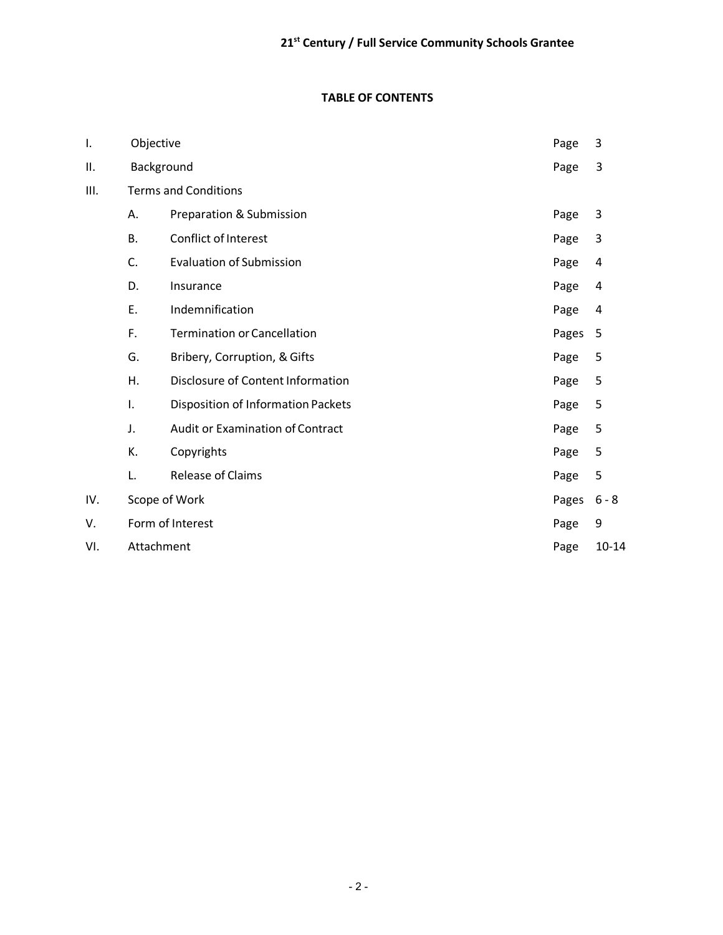# **TABLE OF CONTENTS**

| I.  | Objective                   |                                           | Page  | 3         |
|-----|-----------------------------|-------------------------------------------|-------|-----------|
| Π.  | Background                  |                                           | Page  | 3         |
| Ш.  | <b>Terms and Conditions</b> |                                           |       |           |
|     | Α.                          | Preparation & Submission                  | Page  | 3         |
|     | <b>B.</b>                   | <b>Conflict of Interest</b>               | Page  | 3         |
|     | C.                          | <b>Evaluation of Submission</b>           | Page  | 4         |
|     | D.                          | Insurance                                 | Page  | 4         |
|     | Ε.                          | Indemnification                           | Page  | 4         |
|     | F.                          | <b>Termination or Cancellation</b>        | Pages | 5         |
|     | G.                          | Bribery, Corruption, & Gifts              | Page  | 5         |
|     | Η.                          | Disclosure of Content Information         | Page  | 5         |
|     | Ι.                          | <b>Disposition of Information Packets</b> | Page  | 5         |
|     | J.                          | Audit or Examination of Contract          | Page  | 5         |
|     | К.                          | Copyrights                                | Page  | 5         |
|     | L.                          | Release of Claims                         | Page  | 5         |
| IV. | Scope of Work               |                                           | Pages | $6 - 8$   |
| ٧.  | Form of Interest            |                                           | Page  | 9         |
| VI. | Attachment                  |                                           | Page  | $10 - 14$ |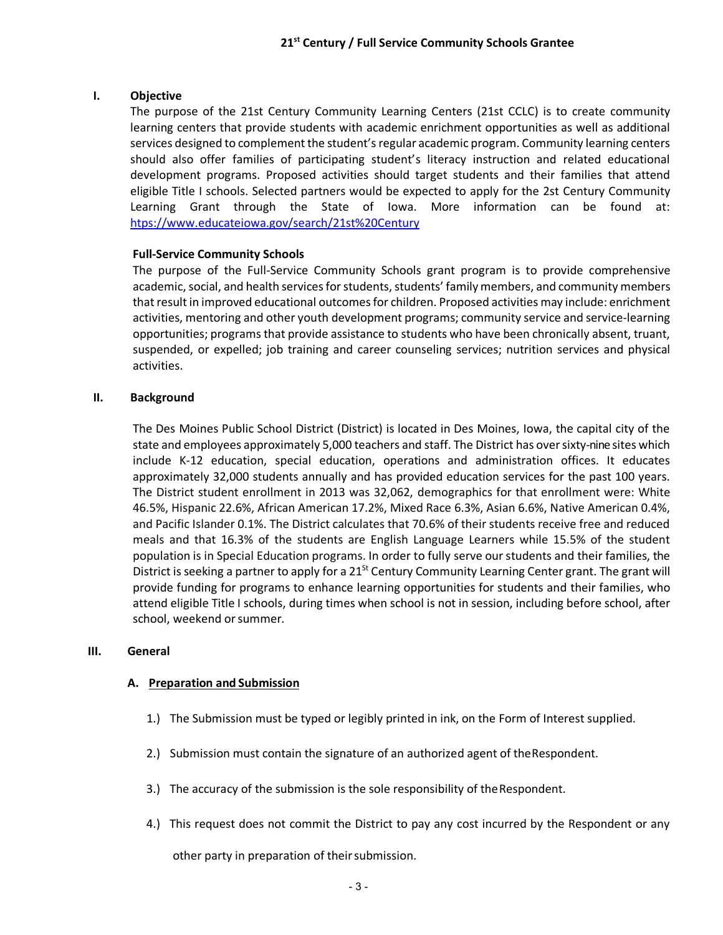#### **I. Objective**

The purpose of the 21st Century Community Learning Centers (21st CCLC) is to create community learning centers that provide students with academic enrichment opportunities as well as additional services designed to complement the student's regular academic program. Community learning centers should also offer families of participating student's literacy instruction and related educational development programs. Proposed activities should target students and their families that attend eligible Title I schools. Selected partners would be expected to apply for the 2st Century Community Learning Grant through the State of Iowa. More information can be found at: htps://www.educateiowa.gov/search/21st%20Century

#### **Full-Service Community Schools**

The purpose of the Full-Service Community Schools grant program is to provide comprehensive academic, social, and health services for students, students' family members, and community members that result in improved educational outcomes for children. Proposed activities may include: enrichment activities, mentoring and other youth development programs; community service and service-learning opportunities; programs that provide assistance to students who have been chronically absent, truant, suspended, or expelled; job training and career counseling services; nutrition services and physical activities.

#### **II. Background**

The Des Moines Public School District (District) is located in Des Moines, Iowa, the capital city of the state and employees approximately 5,000 teachers and staff. The District has oversixty-nine sites which include K-12 education, special education, operations and administration offices. It educates approximately 32,000 students annually and has provided education services for the past 100 years. The District student enrollment in 2013 was 32,062, demographics for that enrollment were: White 46.5%, Hispanic 22.6%, African American 17.2%, Mixed Race 6.3%, Asian 6.6%, Native American 0.4%, and Pacific Islander 0.1%. The District calculates that 70.6% of their students receive free and reduced meals and that 16.3% of the students are English Language Learners while 15.5% of the student population is in Special Education programs. In order to fully serve ourstudents and their families, the District is seeking a partner to apply for a  $21^{st}$  Century Community Learning Center grant. The grant will provide funding for programs to enhance learning opportunities for students and their families, who attend eligible Title I schools, during times when school is not in session, including before school, after school, weekend orsummer.

#### **III. General**

#### **A. Preparation and Submission**

- 1.) The Submission must be typed or legibly printed in ink, on the Form of Interest supplied.
- 2.) Submission must contain the signature of an authorized agent of theRespondent.
- 3.) The accuracy of the submission is the sole responsibility of theRespondent.
- 4.) This request does not commit the District to pay any cost incurred by the Respondent or any

other party in preparation of theirsubmission.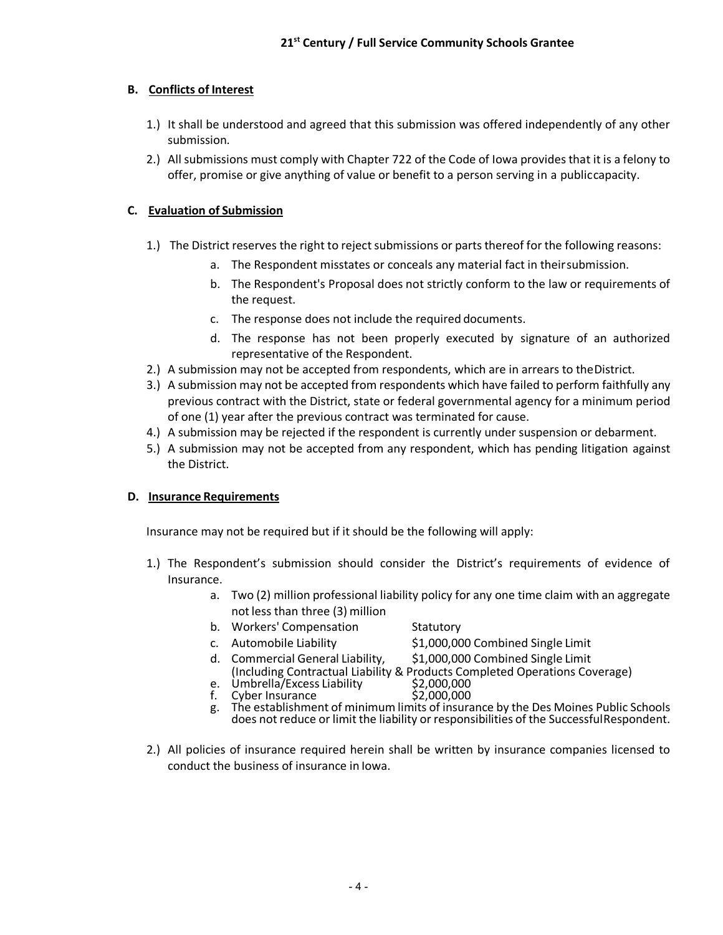## **B. Conflicts of Interest**

- 1.) It shall be understood and agreed that this submission was offered independently of any other submission.
- 2.) All submissions must comply with Chapter 722 of the Code of Iowa provides that it is a felony to offer, promise or give anything of value or benefit to a person serving in a publiccapacity.

### **C. Evaluation of Submission**

- 1.) The District reserves the right to reject submissions or parts thereof for the following reasons:
	- a. The Respondent misstates or conceals any material fact in theirsubmission.
	- b. The Respondent's Proposal does not strictly conform to the law or requirements of the request.
	- c. The response does not include the required documents.
	- d. The response has not been properly executed by signature of an authorized representative of the Respondent.
- 2.) A submission may not be accepted from respondents, which are in arrears to theDistrict.
- 3.) A submission may not be accepted from respondents which have failed to perform faithfully any previous contract with the District, state or federal governmental agency for a minimum period of one (1) year after the previous contract was terminated for cause.
- 4.) A submission may be rejected if the respondent is currently under suspension or debarment.
- 5.) A submission may not be accepted from any respondent, which has pending litigation against the District.

#### **D. Insurance Requirements**

Insurance may not be required but if it should be the following will apply:

- 1.) The Respondent's submission should consider the District's requirements of evidence of Insurance.
	- a. Two (2) million professional liability policy for any one time claim with an aggregate not less than three (3) million
	- b. Workers' Compensation Statutory
	-
	- c. Automobile Liability  $$1,000,000$  Combined Single Limit
	- d. Commercial General Liability, \$1,000,000 Combined Single Limit (Including Contractual Liability & Products Completed Operations Coverage)<br>Umbrella/Excess Liability \$2,000,000<br>Cyber Insurance \$2,000,000
	- e. Umbrella/Excess Liability
	- f. Cyber Insurance
	- g. The establishment of minimum limits of insurance by the Des Moines Public Schools does not reduce or limit the liability or responsibilities of the SuccessfulRespondent.
- 2.) All policies of insurance required herein shall be written by insurance companies licensed to conduct the business of insurance in Iowa.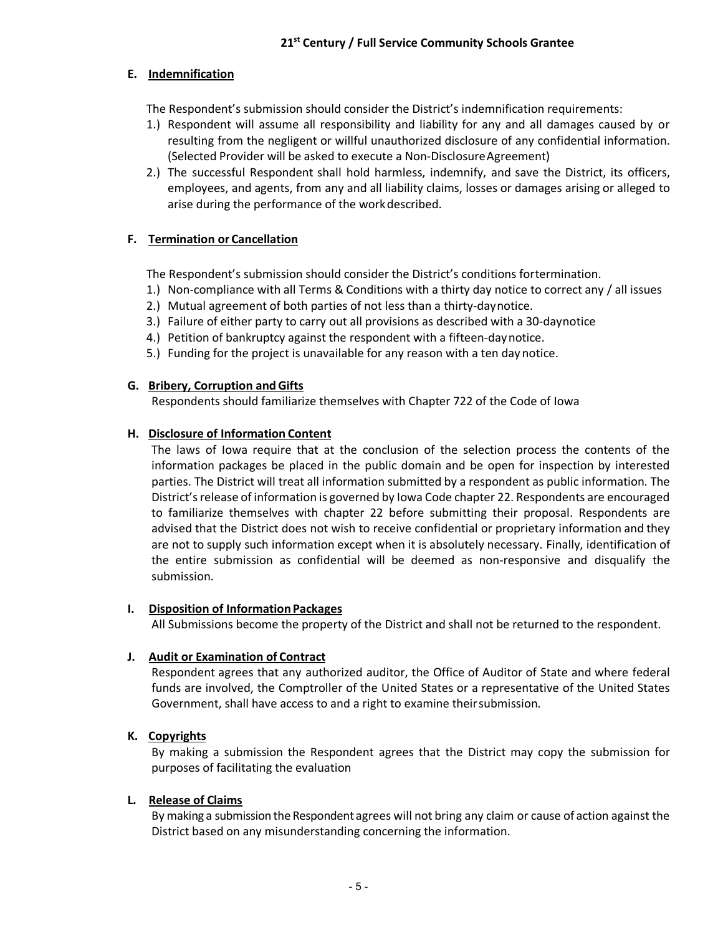## **E. Indemnification**

The Respondent's submission should consider the District's indemnification requirements:

- 1.) Respondent will assume all responsibility and liability for any and all damages caused by or resulting from the negligent or willful unauthorized disclosure of any confidential information. (Selected Provider will be asked to execute a Non-DisclosureAgreement)
- 2.) The successful Respondent shall hold harmless, indemnify, and save the District, its officers, employees, and agents, from any and all liability claims, losses or damages arising or alleged to arise during the performance of the workdescribed.

## **F. Termination or Cancellation**

The Respondent's submission should consider the District's conditions fortermination.

- 1.) Non-compliance with all Terms & Conditions with a thirty day notice to correct any / all issues
- 2.) Mutual agreement of both parties of not less than a thirty-daynotice.
- 3.) Failure of either party to carry out all provisions as described with a 30-daynotice
- 4.) Petition of bankruptcy against the respondent with a fifteen-daynotice.
- 5.) Funding for the project is unavailable for any reason with a ten day notice.

## **G. Bribery, Corruption andGifts**

Respondents should familiarize themselves with Chapter 722 of the Code of Iowa

## **H. Disclosure of Information Content**

The laws of Iowa require that at the conclusion of the selection process the contents of the information packages be placed in the public domain and be open for inspection by interested parties. The District will treat all information submitted by a respondent as public information. The District's release of information is governed by Iowa Code chapter 22. Respondents are encouraged to familiarize themselves with chapter 22 before submitting their proposal. Respondents are advised that the District does not wish to receive confidential or proprietary information and they are not to supply such information except when it is absolutely necessary. Finally, identification of the entire submission as confidential will be deemed as non-responsive and disqualify the submission.

#### **I. Disposition of Information Packages**

All Submissions become the property of the District and shall not be returned to the respondent.

#### **J. Audit or Examination of Contract**

Respondent agrees that any authorized auditor, the Office of Auditor of State and where federal funds are involved, the Comptroller of the United States or a representative of the United States Government, shall have access to and a right to examine theirsubmission.

## **K. Copyrights**

By making a submission the Respondent agrees that the District may copy the submission for purposes of facilitating the evaluation

#### **L. Release of Claims**

By making a submission the Respondent agrees will not bring any claim or cause of action against the District based on any misunderstanding concerning the information.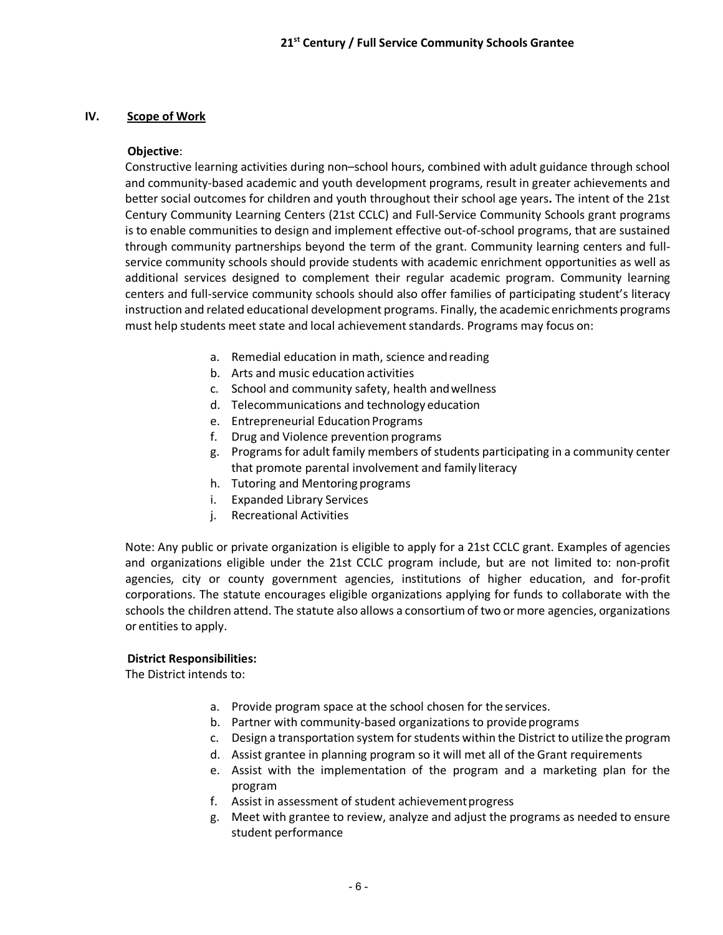## **IV. Scope of Work**

#### **Objective**:

Constructive learning activities during non–school hours, combined with adult guidance through school and community-based academic and youth development programs, result in greater achievements and better social outcomes for children and youth throughout their school age years**.** The intent of the 21st Century Community Learning Centers (21st CCLC) and Full-Service Community Schools grant programs is to enable communities to design and implement effective out-of-school programs, that are sustained through community partnerships beyond the term of the grant. Community learning centers and fullservice community schools should provide students with academic enrichment opportunities as well as additional services designed to complement their regular academic program. Community learning centers and full-service community schools should also offer families of participating student's literacy instruction and related educational development programs. Finally, the academic enrichments programs must help students meet state and local achievement standards. Programs may focus on:

- a. Remedial education in math, science andreading
- b. Arts and music education activities
- c. School and community safety, health andwellness
- d. Telecommunications and technology education
- e. Entrepreneurial Education Programs
- f. Drug and Violence prevention programs
- g. Programs for adult family members of students participating in a community center that promote parental involvement and family literacy
- h. Tutoring and Mentoring programs
- i. Expanded Library Services
- j. Recreational Activities

Note: Any public or private organization is eligible to apply for a 21st CCLC grant. Examples of agencies and organizations eligible under the 21st CCLC program include, but are not limited to: non-profit agencies, city or county government agencies, institutions of higher education, and for-profit corporations. The statute encourages eligible organizations applying for funds to collaborate with the schools the children attend. The statute also allows a consortium of two or more agencies, organizations or entities to apply.

#### **District Responsibilities:**

The District intends to:

- a. Provide program space at the school chosen for the services.
- b. Partner with community-based organizations to provide programs
- c. Design a transportation system for students within the District to utilize the program
- d. Assist grantee in planning program so it will met all of the Grant requirements
- e. Assist with the implementation of the program and a marketing plan for the program
- f. Assist in assessment of student achievement progress
- g. Meet with grantee to review, analyze and adjust the programs as needed to ensure student performance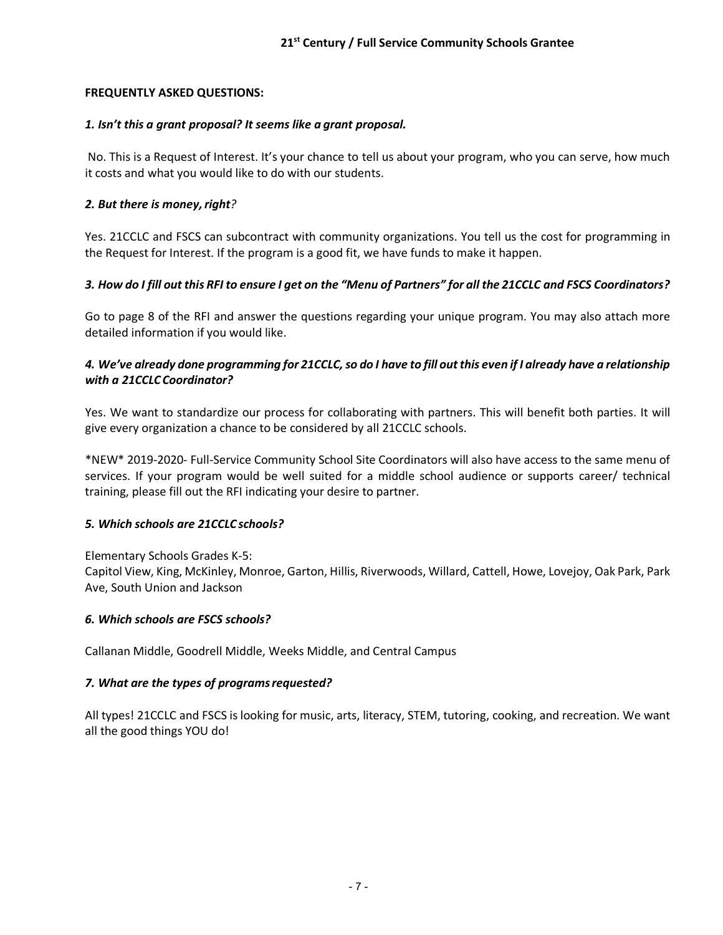## **FREQUENTLY ASKED QUESTIONS:**

### *1. Isn't this a grant proposal? It seems like a grant proposal.*

No. This is a Request of Interest. It's your chance to tell us about your program, who you can serve, how much it costs and what you would like to do with our students.

## **2. But there is money, right?**

Yes. 21CCLC and FSCS can subcontract with community organizations. You tell us the cost for programming in the Request for Interest. If the program is a good fit, we have funds to make it happen.

## 3. How do I fill out this RFI to ensure I get on the "Menu of Partners" for all the 21CCLC and FSCS Coordinators?

Go to page 8 of the RFI and answer the questions regarding your unique program. You may also attach more detailed information if you would like.

## *4. We've already done programming for 21CCLC, so do I have to fill out this even if I already have a relationship with a 21CCLC Coordinator?*

Yes. We want to standardize our process for collaborating with partners. This will benefit both parties. It will give every organization a chance to be considered by all 21CCLC schools.

\*NEW\* 2019-2020- Full-Service Community School Site Coordinators will also have access to the same menu of services. If your program would be well suited for a middle school audience or supports career/ technical training, please fill out the RFI indicating your desire to partner.

#### *5. Which schools are 21CCLC schools?*

Elementary Schools Grades K-5:

Capitol View, King, McKinley, Monroe, Garton, Hillis, Riverwoods, Willard, Cattell, Howe, Lovejoy, Oak Park, Park Ave, South Union and Jackson

#### *6. Which schools are FSCS schools?*

Callanan Middle, Goodrell Middle, Weeks Middle, and Central Campus

#### *7. What are the types of programsrequested?*

All types! 21CCLC and FSCS is looking for music, arts, literacy, STEM, tutoring, cooking, and recreation. We want all the good things YOU do!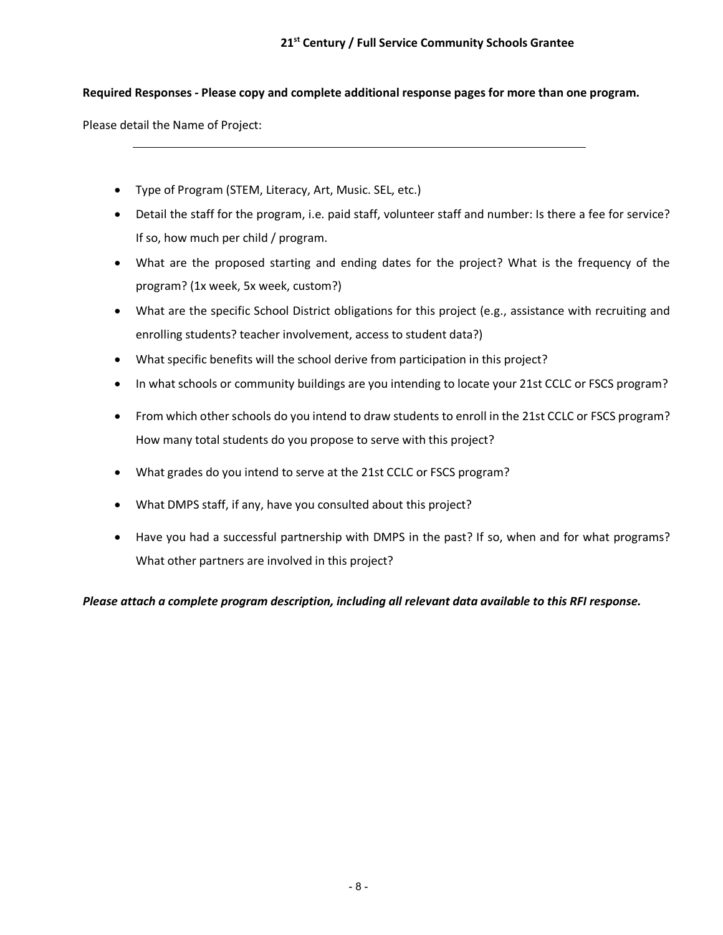### **Required Responses - Please copy and complete additional response pages for more than one program.**

Please detail the Name of Project:

- Type of Program (STEM, Literacy, Art, Music. SEL, etc.)
- Detail the staff for the program, i.e. paid staff, volunteer staff and number: Is there a fee for service? If so, how much per child / program.
- What are the proposed starting and ending dates for the project? What is the frequency of the program? (1x week, 5x week, custom?)
- What are the specific School District obligations for this project (e.g., assistance with recruiting and enrolling students? teacher involvement, access to student data?)
- What specific benefits will the school derive from participation in this project?
- In what schools or community buildings are you intending to locate your 21st CCLC or FSCS program?
- From which other schools do you intend to draw students to enroll in the 21st CCLC or FSCS program? How many total students do you propose to serve with this project?
- What grades do you intend to serve at the 21st CCLC or FSCS program?
- What DMPS staff, if any, have you consulted about this project?
- Have you had a successful partnership with DMPS in the past? If so, when and for what programs? What other partners are involved in this project?

*Please attach a complete program description, including all relevant data available to this RFI response.*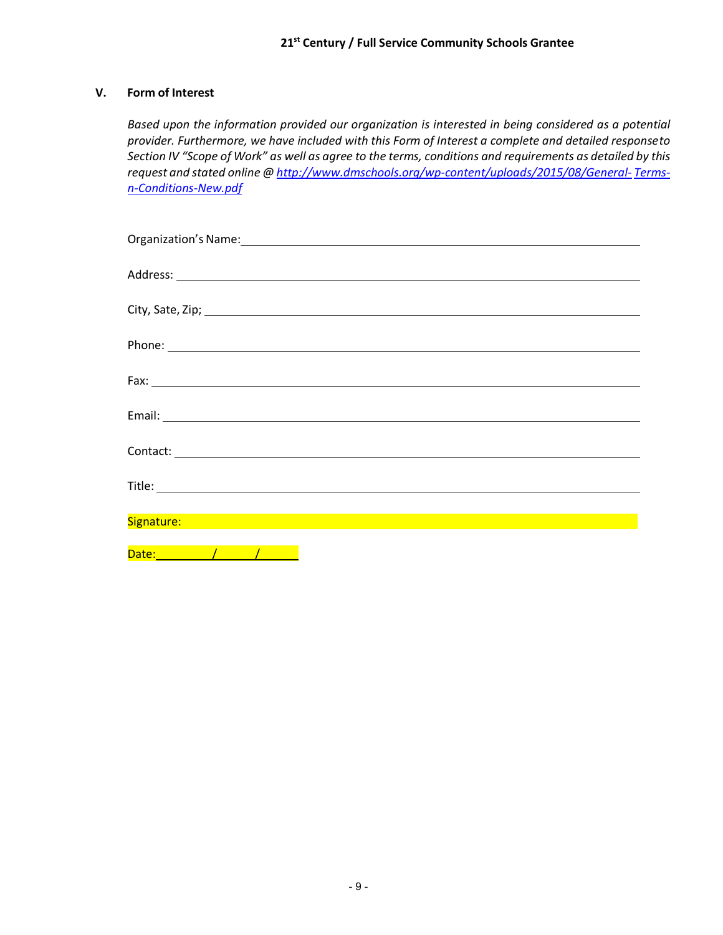## **V. Form of Interest**

*Based upon the information provided our organization is interested in being considered as a potential provider. Furthermore, we have included with this Form of Interest a complete and detailed responseto Section IV "Scope of Work" as well as agree to the terms, conditions and requirements as detailed by this request and stated online @ http://www.dmschools.org/wp-content/uploads/2015/08/General- Termsn-Conditions-New.pdf*

| Organization's Name: 1999 - 1999 - 1999 - 1999 - 1999 - 1999 - 1999 - 1999 - 1999 - 1999 - 1999 - 1999 - 1999                                                                                                                                                                                                                                                                                                                                                                               |
|---------------------------------------------------------------------------------------------------------------------------------------------------------------------------------------------------------------------------------------------------------------------------------------------------------------------------------------------------------------------------------------------------------------------------------------------------------------------------------------------|
|                                                                                                                                                                                                                                                                                                                                                                                                                                                                                             |
|                                                                                                                                                                                                                                                                                                                                                                                                                                                                                             |
|                                                                                                                                                                                                                                                                                                                                                                                                                                                                                             |
|                                                                                                                                                                                                                                                                                                                                                                                                                                                                                             |
|                                                                                                                                                                                                                                                                                                                                                                                                                                                                                             |
|                                                                                                                                                                                                                                                                                                                                                                                                                                                                                             |
| $\textsf{Fax:}\underbrace{\hspace{1.5cm}}_{\textcolor{blue}{\textbf{1.5}}\textcolor{blue}{\textbf{1.5}}\textcolor{blue}{\textbf{1.5}}\textcolor{blue}{\textbf{1.5}}\textcolor{blue}{\textbf{1.5}}\textcolor{blue}{\textbf{1.5}}\textcolor{blue}{\textbf{1.5}}\textcolor{blue}{\textbf{1.5}}\textcolor{blue}{\textbf{1.5}}\textcolor{blue}{\textbf{1.5}}\textcolor{blue}{\textbf{1.5}}\textcolor{blue}{\textbf{1.5}}\textcolor{blue}{\textbf{1.5}}\textcolor{blue}{\textbf{1.5}}\textcolor{$ |
|                                                                                                                                                                                                                                                                                                                                                                                                                                                                                             |
|                                                                                                                                                                                                                                                                                                                                                                                                                                                                                             |
|                                                                                                                                                                                                                                                                                                                                                                                                                                                                                             |
|                                                                                                                                                                                                                                                                                                                                                                                                                                                                                             |
|                                                                                                                                                                                                                                                                                                                                                                                                                                                                                             |
|                                                                                                                                                                                                                                                                                                                                                                                                                                                                                             |
| <u> 1989 - Andrea Santa Andrea Andrea Andrea Andrea Andrea Andrea Andrea Andrea Andrea Andrea Andrea Andrea Andr</u><br>Signature:                                                                                                                                                                                                                                                                                                                                                          |
|                                                                                                                                                                                                                                                                                                                                                                                                                                                                                             |
|                                                                                                                                                                                                                                                                                                                                                                                                                                                                                             |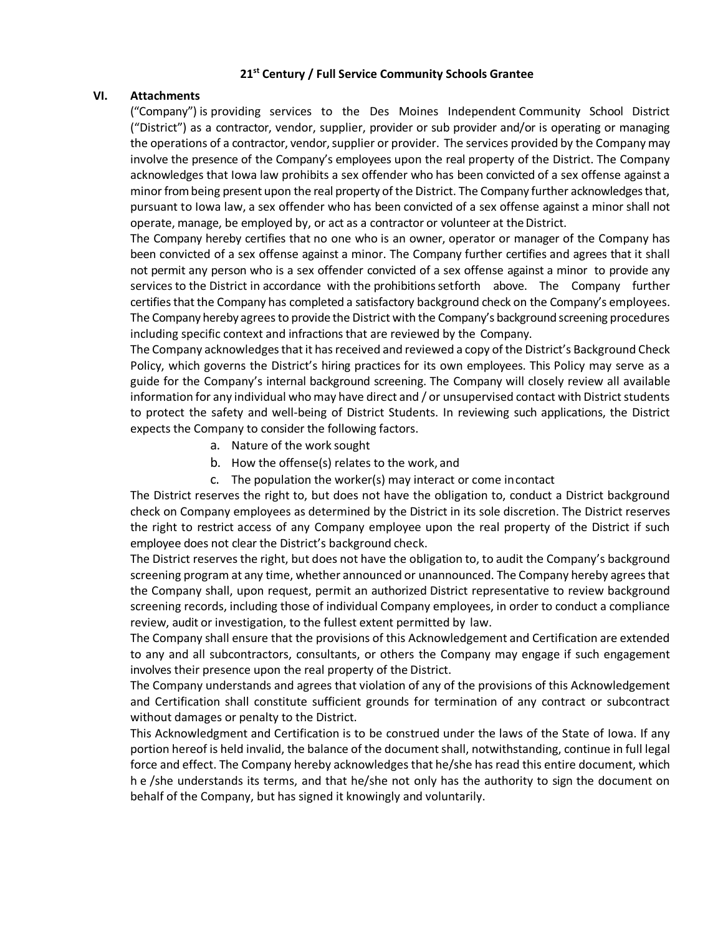#### **21st Century / Full Service Community Schools Grantee**

#### **VI. Attachments**

("Company") is providing services to the Des Moines Independent Community School District ("District") as a contractor, vendor, supplier, provider or sub provider and/or is operating or managing the operations of a contractor, vendor, supplier or provider. The services provided by the Company may involve the presence of the Company's employees upon the real property of the District. The Company acknowledges that Iowa law prohibits a sex offender who has been convicted of a sex offense against a minor from being present upon the real property of the District. The Company further acknowledges that, pursuant to Iowa law, a sex offender who has been convicted of a sex offense against a minor shall not operate, manage, be employed by, or act as a contractor or volunteer at the District.

The Company hereby certifies that no one who is an owner, operator or manager of the Company has been convicted of a sex offense against a minor. The Company further certifies and agrees that it shall not permit any person who is a sex offender convicted of a sex offense against a minor to provide any services to the District in accordance with the prohibitions setforth above. The Company further certifies that the Company has completed a satisfactory background check on the Company's employees. The Company hereby agrees to provide the District with the Company's background screening procedures including specific context and infractions that are reviewed by the Company.

The Company acknowledges that it has received and reviewed a copy of the District's Background Check Policy, which governs the District's hiring practices for its own employees. This Policy may serve as a guide for the Company's internal background screening. The Company will closely review all available information for any individual who may have direct and / or unsupervised contact with District students to protect the safety and well-being of District Students. In reviewing such applications, the District expects the Company to consider the following factors.

- a. Nature of the work sought
- b. How the offense(s) relates to the work, and
- c. The population the worker(s) may interact or come incontact

The District reserves the right to, but does not have the obligation to, conduct a District background check on Company employees as determined by the District in its sole discretion. The District reserves the right to restrict access of any Company employee upon the real property of the District if such employee does not clear the District's background check.

The District reserves the right, but does not have the obligation to, to audit the Company's background screening program at any time, whether announced or unannounced. The Company hereby agrees that the Company shall, upon request, permit an authorized District representative to review background screening records, including those of individual Company employees, in order to conduct a compliance review, audit or investigation, to the fullest extent permitted by law.

The Company shall ensure that the provisions of this Acknowledgement and Certification are extended to any and all subcontractors, consultants, or others the Company may engage if such engagement involves their presence upon the real property of the District.

The Company understands and agrees that violation of any of the provisions of this Acknowledgement and Certification shall constitute sufficient grounds for termination of any contract or subcontract without damages or penalty to the District.

This Acknowledgment and Certification is to be construed under the laws of the State of Iowa. If any portion hereof is held invalid, the balance of the document shall, notwithstanding, continue in full legal force and effect. The Company hereby acknowledges that he/she has read this entire document, which h e /she understands its terms, and that he/she not only has the authority to sign the document on behalf of the Company, but has signed it knowingly and voluntarily.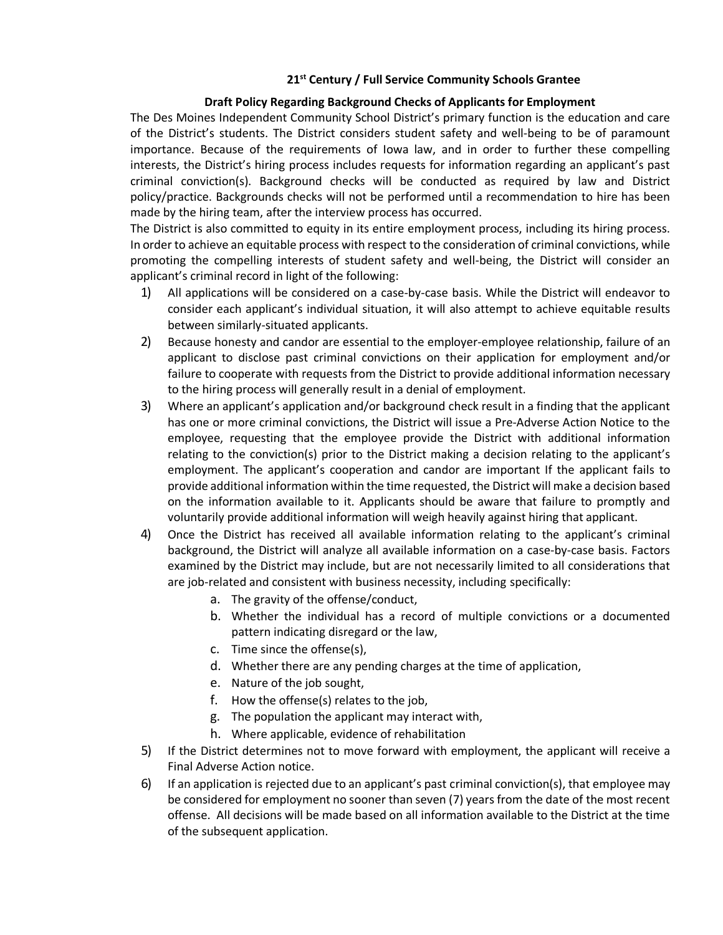#### **21st Century / Full Service Community Schools Grantee**

### **Draft Policy Regarding Background Checks of Applicants for Employment**

The Des Moines Independent Community School District's primary function is the education and care of the District's students. The District considers student safety and well-being to be of paramount importance. Because of the requirements of Iowa law, and in order to further these compelling interests, the District's hiring process includes requests for information regarding an applicant's past criminal conviction(s). Background checks will be conducted as required by law and District policy/practice. Backgrounds checks will not be performed until a recommendation to hire has been made by the hiring team, after the interview process has occurred.

The District is also committed to equity in its entire employment process, including its hiring process. In order to achieve an equitable process with respect to the consideration of criminal convictions, while promoting the compelling interests of student safety and well-being, the District will consider an applicant's criminal record in light of the following:

- 1) All applications will be considered on a case-by-case basis. While the District will endeavor to consider each applicant's individual situation, it will also attempt to achieve equitable results between similarly-situated applicants.
- 2) Because honesty and candor are essential to the employer-employee relationship, failure of an applicant to disclose past criminal convictions on their application for employment and/or failure to cooperate with requests from the District to provide additional information necessary to the hiring process will generally result in a denial of employment.
- 3) Where an applicant's application and/or background check result in a finding that the applicant has one or more criminal convictions, the District will issue a Pre-Adverse Action Notice to the employee, requesting that the employee provide the District with additional information relating to the conviction(s) prior to the District making a decision relating to the applicant's employment. The applicant's cooperation and candor are important If the applicant fails to provide additional information within the time requested, the District will make a decision based on the information available to it. Applicants should be aware that failure to promptly and voluntarily provide additional information will weigh heavily against hiring that applicant.
- 4) Once the District has received all available information relating to the applicant's criminal background, the District will analyze all available information on a case-by-case basis. Factors examined by the District may include, but are not necessarily limited to all considerations that are job-related and consistent with business necessity, including specifically:
	- a. The gravity of the offense/conduct,
	- b. Whether the individual has a record of multiple convictions or a documented pattern indicating disregard or the law,
	- c. Time since the offense(s),
	- d. Whether there are any pending charges at the time of application,
	- e. Nature of the job sought,
	- f. How the offense(s) relates to the job,
	- g. The population the applicant may interact with,
	- h. Where applicable, evidence of rehabilitation
- 5) If the District determines not to move forward with employment, the applicant will receive a Final Adverse Action notice.
- 6) If an application is rejected due to an applicant's past criminal conviction(s), that employee may be considered for employment no sooner than seven (7) years from the date of the most recent offense. All decisions will be made based on all information available to the District at the time of the subsequent application.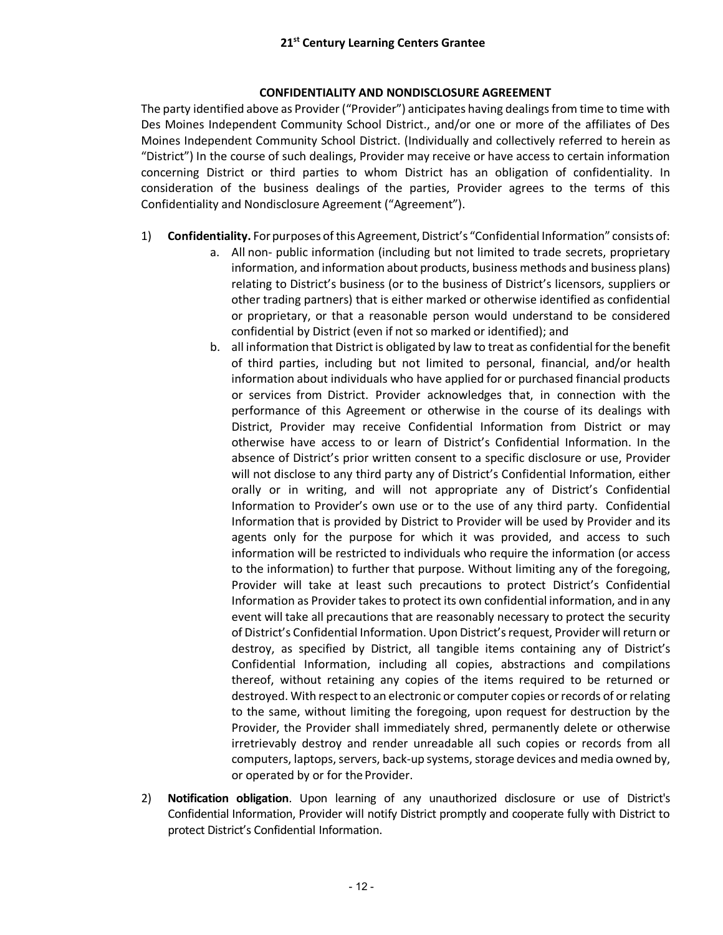## **CONFIDENTIALITY AND NONDISCLOSURE AGREEMENT**

The party identified above as Provider ("Provider") anticipates having dealings from time to time with Des Moines Independent Community School District., and/or one or more of the affiliates of Des Moines Independent Community School District. (Individually and collectively referred to herein as "District") In the course of such dealings, Provider may receive or have access to certain information concerning District or third parties to whom District has an obligation of confidentiality. In consideration of the business dealings of the parties, Provider agrees to the terms of this Confidentiality and Nondisclosure Agreement ("Agreement").

- 1) **Confidentiality.** For purposes of this Agreement, District's "Confidential Information" consists of:
	- a. All non- public information (including but not limited to trade secrets, proprietary information, and information about products, business methods and business plans) relating to District's business (or to the business of District's licensors, suppliers or other trading partners) that is either marked or otherwise identified as confidential or proprietary, or that a reasonable person would understand to be considered confidential by District (even if not so marked or identified); and
	- b. all information that District is obligated by law to treat as confidential for the benefit of third parties, including but not limited to personal, financial, and/or health information about individuals who have applied for or purchased financial products or services from District. Provider acknowledges that, in connection with the performance of this Agreement or otherwise in the course of its dealings with District, Provider may receive Confidential Information from District or may otherwise have access to or learn of District's Confidential Information. In the absence of District's prior written consent to a specific disclosure or use, Provider will not disclose to any third party any of District's Confidential Information, either orally or in writing, and will not appropriate any of District's Confidential Information to Provider's own use or to the use of any third party. Confidential Information that is provided by District to Provider will be used by Provider and its agents only for the purpose for which it was provided, and access to such information will be restricted to individuals who require the information (or access to the information) to further that purpose. Without limiting any of the foregoing, Provider will take at least such precautions to protect District's Confidential Information as Provider takes to protect its own confidential information, and in any event will take all precautions that are reasonably necessary to protect the security of District's Confidential Information. Upon District's request, Provider will return or destroy, as specified by District, all tangible items containing any of District's Confidential Information, including all copies, abstractions and compilations thereof, without retaining any copies of the items required to be returned or destroyed. With respect to an electronic or computer copies or records of or relating to the same, without limiting the foregoing, upon request for destruction by the Provider, the Provider shall immediately shred, permanently delete or otherwise irretrievably destroy and render unreadable all such copies or records from all computers, laptops, servers, back-up systems, storage devices and media owned by, or operated by or for the Provider.
- 2) **Notification obligation**. Upon learning of any unauthorized disclosure or use of District's Confidential Information, Provider will notify District promptly and cooperate fully with District to protect District's Confidential Information.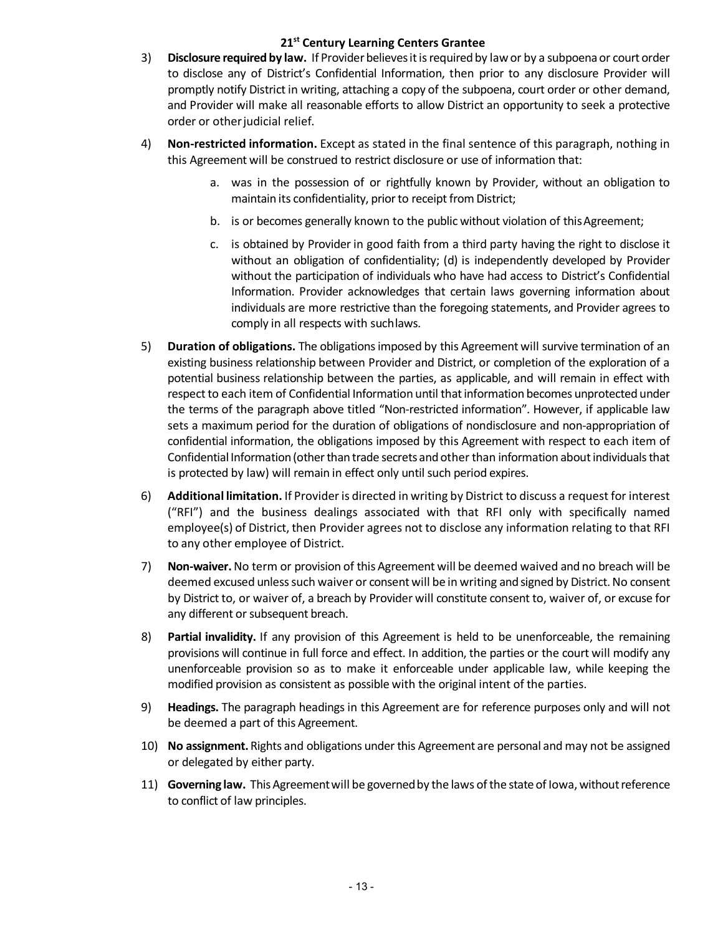## **21st Century Learning Centers Grantee**

- 3) **Disclosure required by law.** If Providerbelievesitisrequiredby lawor by a subpoenaor court order to disclose any of District's Confidential Information, then prior to any disclosure Provider will promptly notify District in writing, attaching a copy of the subpoena, court order or other demand, and Provider will make all reasonable efforts to allow District an opportunity to seek a protective order or otherjudicial relief.
- 4) **Non-restricted information.** Except as stated in the final sentence of this paragraph, nothing in this Agreement will be construed to restrict disclosure or use of information that:
	- a. was in the possession of or rightfully known by Provider, without an obligation to maintain its confidentiality, prior to receipt from District;
	- b. is or becomes generally known to the public without violation of this Agreement;
	- c. is obtained by Provider in good faith from a third party having the right to disclose it without an obligation of confidentiality; (d) is independently developed by Provider without the participation of individuals who have had access to District's Confidential Information. Provider acknowledges that certain laws governing information about individuals are more restrictive than the foregoing statements, and Provider agrees to comply in all respects with suchlaws.
- 5) **Duration of obligations.** The obligations imposed by this Agreement will survive termination of an existing business relationship between Provider and District, or completion of the exploration of a potential business relationship between the parties, as applicable, and will remain in effect with respect to each item of Confidential Information until that information becomes unprotected under the terms of the paragraph above titled "Non-restricted information". However, if applicable law sets a maximum period for the duration of obligations of nondisclosure and non-appropriation of confidential information, the obligations imposed by this Agreement with respect to each item of Confidential Information (other than trade secrets and other than information about individuals that is protected by law) will remain in effect only until such period expires.
- 6) **Additional limitation.** If Provider is directed in writing by District to discuss a request for interest ("RFI") and the business dealings associated with that RFI only with specifically named employee(s) of District, then Provider agrees not to disclose any information relating to that RFI to any other employee of District.
- 7) **Non-waiver.** No term or provision of this Agreement will be deemed waived and no breach will be deemed excused unless such waiver or consent will be in writing and signed by District. No consent by District to, or waiver of, a breach by Provider will constitute consent to, waiver of, or excuse for any different or subsequent breach.
- 8) **Partial invalidity.** If any provision of this Agreement is held to be unenforceable, the remaining provisions will continue in full force and effect. In addition, the parties or the court will modify any unenforceable provision so as to make it enforceable under applicable law, while keeping the modified provision as consistent as possible with the original intent of the parties.
- 9) **Headings.** The paragraph headings in this Agreement are for reference purposes only and will not be deemed a part of this Agreement.
- 10) **No assignment.** Rights and obligations under this Agreement are personal and may not be assigned or delegated by either party.
- 11) **Governing law.** This Agreement will be governed by the laws of the state of Iowa, without reference to conflict of law principles.